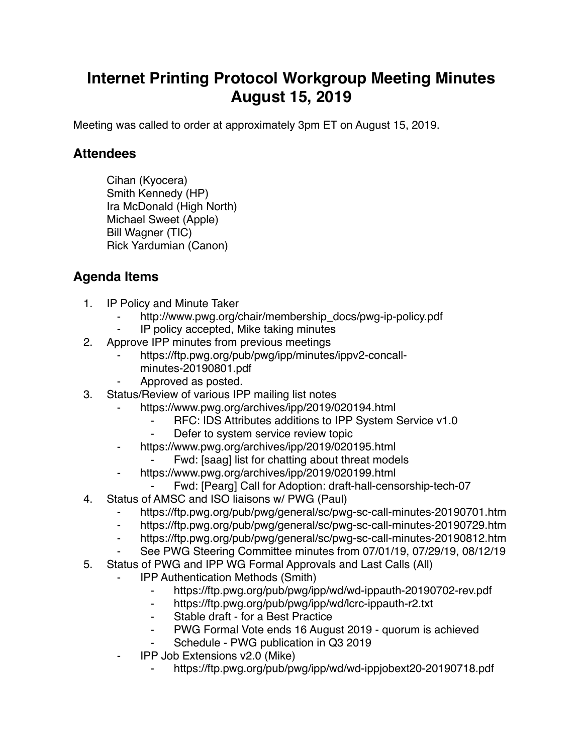## **Internet Printing Protocol Workgroup Meeting Minutes August 15, 2019**

Meeting was called to order at approximately 3pm ET on August 15, 2019.

## **Attendees**

Cihan (Kyocera) Smith Kennedy (HP) Ira McDonald (High North) Michael Sweet (Apple) Bill Wagner (TIC) Rick Yardumian (Canon)

## **Agenda Items**

- 1. IP Policy and Minute Taker
	- http://www.pwg.org/chair/membership\_docs/pwg-ip-policy.pdf
	- IP policy accepted, Mike taking minutes
- 2. Approve IPP minutes from previous meetings
	- https://ftp.pwg.org/pub/pwg/ipp/minutes/ippv2-concallminutes-20190801.pdf
	- Approved as posted.
- 3. Status/Review of various IPP mailing list notes
	- https://www.pwg.org/archives/ipp/2019/020194.html
		- ⁃ RFC: IDS Attributes additions to IPP System Service v1.0
			- Defer to system service review topic
	- https://www.pwg.org/archives/ipp/2019/020195.html
		- Fwd: [saag] list for chatting about threat models
	- ⁃ https://www.pwg.org/archives/ipp/2019/020199.html
	- Fwd: [Pearg] Call for Adoption: draft-hall-censorship-tech-07
- 4. Status of AMSC and ISO liaisons w/ PWG (Paul)
	- https://ftp.pwg.org/pub/pwg/general/sc/pwg-sc-call-minutes-20190701.htm
	- ⁃ https://ftp.pwg.org/pub/pwg/general/sc/pwg-sc-call-minutes-20190729.htm
	- ⁃ https://ftp.pwg.org/pub/pwg/general/sc/pwg-sc-call-minutes-20190812.htm
	- See PWG Steering Committee minutes from 07/01/19, 07/29/19, 08/12/19
- 5. Status of PWG and IPP WG Formal Approvals and Last Calls (All)
	- **IPP Authentication Methods (Smith)** 
		- ⁃ https://ftp.pwg.org/pub/pwg/ipp/wd/wd-ippauth-20190702-rev.pdf
		- ⁃ https://ftp.pwg.org/pub/pwg/ipp/wd/lcrc-ippauth-r2.txt
		- ⁃ Stable draft for a Best Practice
		- PWG Formal Vote ends 16 August 2019 quorum is achieved
		- Schedule PWG publication in Q3 2019
	- ⁃ IPP Job Extensions v2.0 (Mike)
		- https://ftp.pwg.org/pub/pwg/ipp/wd/wd-ippjobext20-20190718.pdf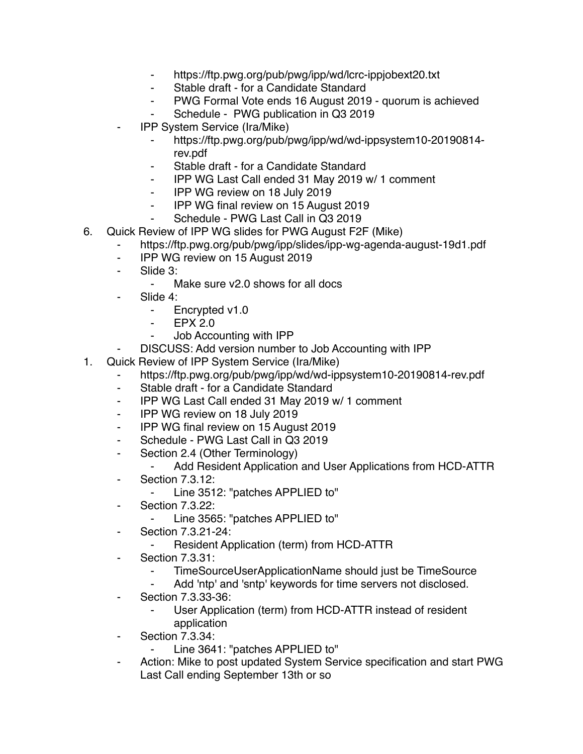- ⁃ https://ftp.pwg.org/pub/pwg/ipp/wd/lcrc-ippjobext20.txt
- ⁃ Stable draft for a Candidate Standard
- ⁃ PWG Formal Vote ends 16 August 2019 quorum is achieved
- Schedule PWG publication in Q3 2019
- ⁃ IPP System Service (Ira/Mike)
	- https://ftp.pwg.org/pub/pwg/ipp/wd/wd-ippsystem10-20190814rev.pdf
	- Stable draft for a Candidate Standard
	- ⁃ IPP WG Last Call ended 31 May 2019 w/ 1 comment
	- ⁃ IPP WG review on 18 July 2019
	- ⁃ IPP WG final review on 15 August 2019
	- ⁃ Schedule PWG Last Call in Q3 2019
- 6. Quick Review of IPP WG slides for PWG August F2F (Mike)
	- https://ftp.pwg.org/pub/pwg/ipp/slides/ipp-wg-agenda-august-19d1.pdf
		- ⁃ IPP WG review on 15 August 2019
		- ⁃ Slide 3:
			- ⁃ Make sure v2.0 shows for all docs
		- Slide 4:
			- ⁃ Encrypted v1.0
			- ⁃ EPX 2.0
			- ⁃ Job Accounting with IPP
		- DISCUSS: Add version number to Job Accounting with IPP
- 1. Quick Review of IPP System Service (Ira/Mike)
	- https://ftp.pwg.org/pub/pwg/ipp/wd/wd-ippsystem10-20190814-rev.pdf
		- ⁃ Stable draft for a Candidate Standard
		- ⁃ IPP WG Last Call ended 31 May 2019 w/ 1 comment
		- ⁃ IPP WG review on 18 July 2019
		- ⁃ IPP WG final review on 15 August 2019
		- ⁃ Schedule PWG Last Call in Q3 2019
		- ⁃ Section 2.4 (Other Terminology)
			- ⁃ Add Resident Application and User Applications from HCD-ATTR
		- ⁃ Section 7.3.12:
			- Line 3512: "patches APPLIED to"
		- ⁃ Section 7.3.22:
			- ⁃ Line 3565: "patches APPLIED to"
		- ⁃ Section 7.3.21-24:
			- Resident Application (term) from HCD-ATTR
		- ⁃ Section 7.3.31:
			- TimeSourceUserApplicationName should just be TimeSource
			- Add 'ntp' and 'sntp' keywords for time servers not disclosed.
		- ⁃ Section 7.3.33-36:
			- User Application (term) from HCD-ATTR instead of resident application
		- **Section 7.3.34:** 
			- Line 3641: "patches APPLIED to"
		- Action: Mike to post updated System Service specification and start PWG Last Call ending September 13th or so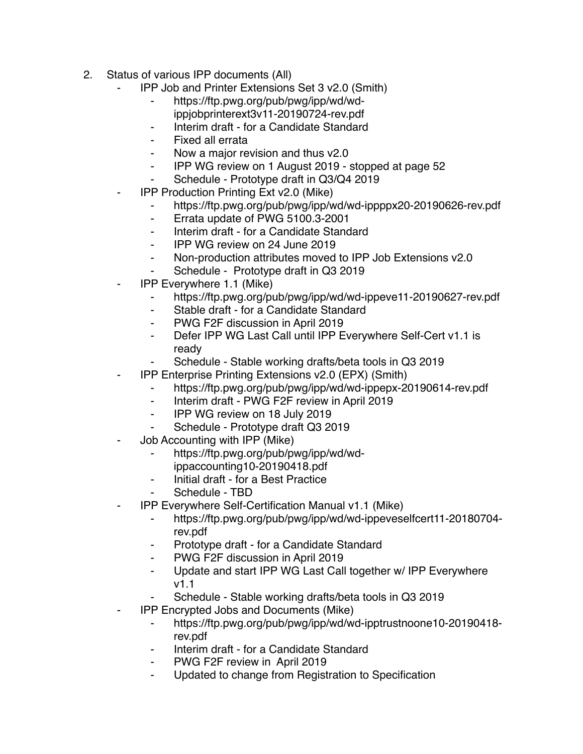- 2. Status of various IPP documents (All)
	- ⁃ IPP Job and Printer Extensions Set 3 v2.0 (Smith)
		- ⁃ https://ftp.pwg.org/pub/pwg/ipp/wd/wdippjobprinterext3v11-20190724-rev.pdf
		- ⁃ Interim draft for a Candidate Standard
		- Fixed all errata
		- Now a major revision and thus v2.0
		- ⁃ IPP WG review on 1 August 2019 stopped at page 52
		- Schedule Prototype draft in Q3/Q4 2019
	- **IPP Production Printing Ext v2.0 (Mike)** 
		- https://ftp.pwg.org/pub/pwg/ipp/wd/wd-ippppx20-20190626-rev.pdf
		- ⁃ Errata update of PWG 5100.3-2001
		- ⁃ Interim draft for a Candidate Standard
		- ⁃ IPP WG review on 24 June 2019
		- ⁃ Non-production attributes moved to IPP Job Extensions v2.0
		- Schedule Prototype draft in Q3 2019
	- ⁃ IPP Everywhere 1.1 (Mike)
		- ⁃ https://ftp.pwg.org/pub/pwg/ipp/wd/wd-ippeve11-20190627-rev.pdf
		- ⁃ Stable draft for a Candidate Standard
		- ⁃ PWG F2F discussion in April 2019
		- ⁃ Defer IPP WG Last Call until IPP Everywhere Self-Cert v1.1 is ready
		- Schedule Stable working drafts/beta tools in Q3 2019
		- ⁃ IPP Enterprise Printing Extensions v2.0 (EPX) (Smith)
			- ⁃ https://ftp.pwg.org/pub/pwg/ipp/wd/wd-ippepx-20190614-rev.pdf
			- ⁃ Interim draft PWG F2F review in April 2019
			- ⁃ IPP WG review on 18 July 2019
			- Schedule Prototype draft Q3 2019
	- Job Accounting with IPP (Mike)
		- ⁃ https://ftp.pwg.org/pub/pwg/ipp/wd/wdippaccounting10-20190418.pdf
		- ⁃ Initial draft for a Best Practice
		- Schedule TBD
	- ⁃ IPP Everywhere Self-Certification Manual v1.1 (Mike)
		- ⁃ https://ftp.pwg.org/pub/pwg/ipp/wd/wd-ippeveselfcert11-20180704 rev.pdf
		- ⁃ Prototype draft for a Candidate Standard
		- PWG F2F discussion in April 2019
		- ⁃ Update and start IPP WG Last Call together w/ IPP Everywhere v1.1
		- Schedule Stable working drafts/beta tools in Q3 2019
		- ⁃ IPP Encrypted Jobs and Documents (Mike)
			- ⁃ https://ftp.pwg.org/pub/pwg/ipp/wd/wd-ipptrustnoone10-20190418 rev.pdf
			- Interim draft for a Candidate Standard
			- PWG F2F review in April 2019
			- Updated to change from Registration to Specification